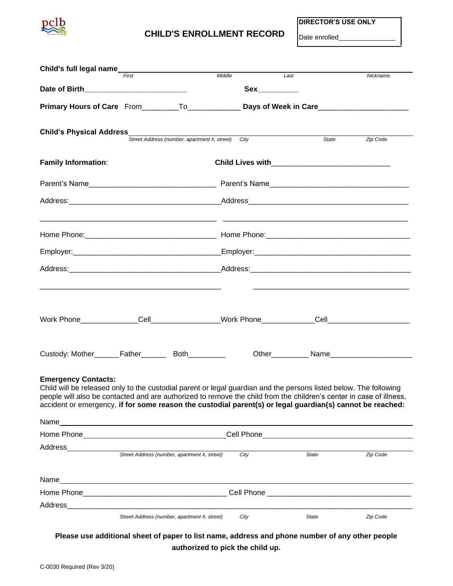

## **CHILD'S ENROLLMENT RECORD** Date enrolled

**DIRECTOR'S USE ONLY**

| Child's full legal name<br>First                                                                                                                                                                                               |  |                                                                                                                       | Middle | Last         | Nickname                                                                                                                                                                                                                                                                                                                                              |  |  |  |
|--------------------------------------------------------------------------------------------------------------------------------------------------------------------------------------------------------------------------------|--|-----------------------------------------------------------------------------------------------------------------------|--------|--------------|-------------------------------------------------------------------------------------------------------------------------------------------------------------------------------------------------------------------------------------------------------------------------------------------------------------------------------------------------------|--|--|--|
|                                                                                                                                                                                                                                |  |                                                                                                                       |        |              |                                                                                                                                                                                                                                                                                                                                                       |  |  |  |
|                                                                                                                                                                                                                                |  |                                                                                                                       |        |              |                                                                                                                                                                                                                                                                                                                                                       |  |  |  |
| <b>Child's Physical Address</b><br>Street Address (number, apartment #, street) City                                                                                                                                           |  |                                                                                                                       |        |              | Zip Code<br>State                                                                                                                                                                                                                                                                                                                                     |  |  |  |
| <b>Family Information:</b>                                                                                                                                                                                                     |  |                                                                                                                       |        |              |                                                                                                                                                                                                                                                                                                                                                       |  |  |  |
|                                                                                                                                                                                                                                |  |                                                                                                                       |        |              |                                                                                                                                                                                                                                                                                                                                                       |  |  |  |
|                                                                                                                                                                                                                                |  |                                                                                                                       |        |              |                                                                                                                                                                                                                                                                                                                                                       |  |  |  |
|                                                                                                                                                                                                                                |  |                                                                                                                       |        |              |                                                                                                                                                                                                                                                                                                                                                       |  |  |  |
|                                                                                                                                                                                                                                |  |                                                                                                                       |        |              |                                                                                                                                                                                                                                                                                                                                                       |  |  |  |
|                                                                                                                                                                                                                                |  |                                                                                                                       |        |              |                                                                                                                                                                                                                                                                                                                                                       |  |  |  |
|                                                                                                                                                                                                                                |  |                                                                                                                       |        |              |                                                                                                                                                                                                                                                                                                                                                       |  |  |  |
|                                                                                                                                                                                                                                |  |                                                                                                                       |        |              |                                                                                                                                                                                                                                                                                                                                                       |  |  |  |
| <b>Emergency Contacts:</b>                                                                                                                                                                                                     |  |                                                                                                                       |        |              | Child will be released only to the custodial parent or legal guardian and the persons listed below. The following<br>people will also be contacted and are authorized to remove the child from the children's center in case of illness,<br>accident or emergency, if for some reason the custodial parent(s) or legal guardian(s) cannot be reached: |  |  |  |
| Name                                                                                                                                                                                                                           |  |                                                                                                                       |        |              |                                                                                                                                                                                                                                                                                                                                                       |  |  |  |
| Home Phone Management and the state of the state of the state of the state of the state of the state of the state of the state of the state of the state of the state of the state of the state of the state of the state of t |  |                                                                                                                       |        |              | <b>Cell Phone Cell</b> Contract <b>Cell</b> Contract <b>Cell</b> Contract <b>Cell</b> Contract <b>Cell</b> Contract <b>Cell</b> Contract <b>Cell</b> Contract <b>Cell</b> Contract <b>Cell</b> Contract <b>Cell</b> Contract <b>Cell</b> Contract <b>Cell</b> Contract <b>Cell</b> Contract <b></b>                                                   |  |  |  |
| Address                                                                                                                                                                                                                        |  | Street Address (number, apartment #, street)                                                                          | City   | State        | Zip Code                                                                                                                                                                                                                                                                                                                                              |  |  |  |
| Name                                                                                                                                                                                                                           |  | <u> 1989 - Johann Stoff, deutscher Stoff, der Stoff, der Stoff, der Stoff, der Stoff, der Stoff, der Stoff, der S</u> |        |              |                                                                                                                                                                                                                                                                                                                                                       |  |  |  |
|                                                                                                                                                                                                                                |  |                                                                                                                       |        |              |                                                                                                                                                                                                                                                                                                                                                       |  |  |  |
| Address                                                                                                                                                                                                                        |  |                                                                                                                       |        |              |                                                                                                                                                                                                                                                                                                                                                       |  |  |  |
|                                                                                                                                                                                                                                |  | Street Address (number, apartment #, street)                                                                          | City   | <b>State</b> | Zip Code                                                                                                                                                                                                                                                                                                                                              |  |  |  |

**Please use additional sheet of paper to list name, address and phone number of any other people authorized to pick the child up.**